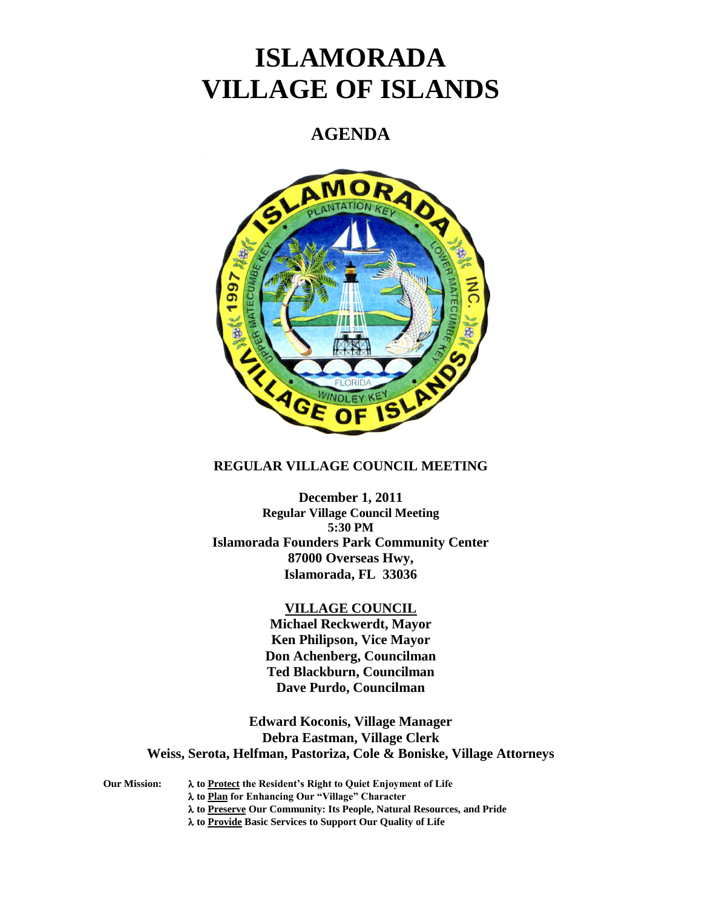# **ISLAMORADA VILLAGE OF ISLANDS**

## **AGENDA**



#### **REGULAR VILLAGE COUNCIL MEETING**

**December 1, 2011 Regular Village Council Meeting 5:30 PM Islamorada Founders Park Community Center 87000 Overseas Hwy, Islamorada, FL 33036**

#### **VILLAGE COUNCIL**

**Michael Reckwerdt, Mayor Ken Philipson, Vice Mayor Don Achenberg, Councilman Ted Blackburn, Councilman Dave Purdo, Councilman**

**Edward Koconis, Village Manager Debra Eastman, Village Clerk Weiss, Serota, Helfman, Pastoriza, Cole & Boniske, Village Attorneys**

**Our Mission: to Protect the Resident's Right to Quiet Enjoyment of Life to Plan for Enhancing Our "Village" Character to Preserve Our Community: Its People, Natural Resources, and Pride to Provide Basic Services to Support Our Quality of Life**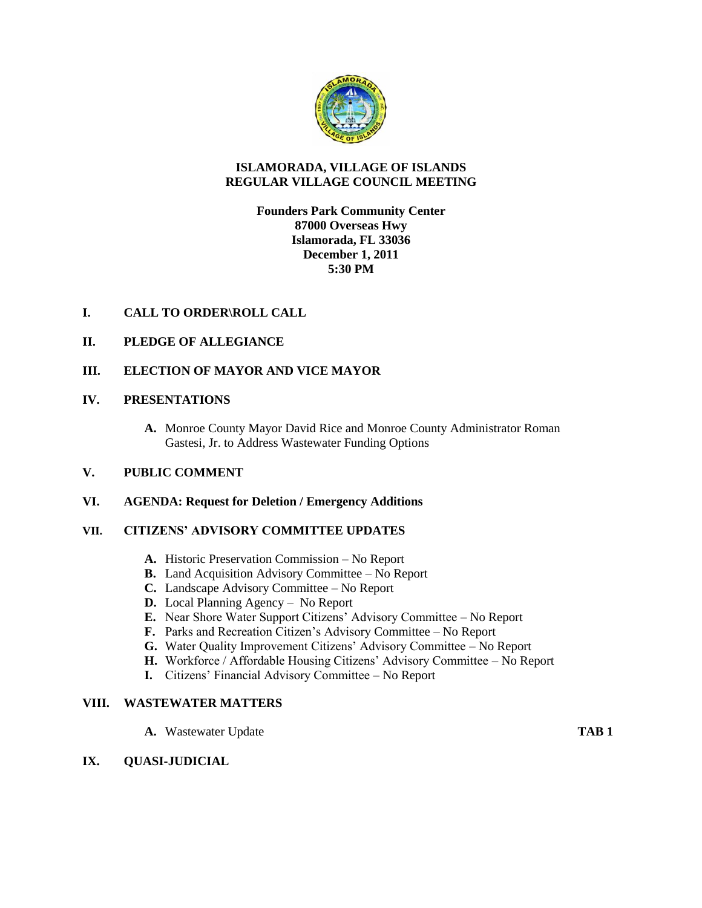

### **ISLAMORADA, VILLAGE OF ISLANDS REGULAR VILLAGE COUNCIL MEETING**

### **Founders Park Community Center 87000 Overseas Hwy Islamorada, FL 33036 December 1, 2011 5:30 PM**

### **I. CALL TO ORDER\ROLL CALL**

#### **II. PLEDGE OF ALLEGIANCE**

#### **III. ELECTION OF MAYOR AND VICE MAYOR**

#### **IV. PRESENTATIONS**

**A.** Monroe County Mayor David Rice and Monroe County Administrator Roman Gastesi, Jr. to Address Wastewater Funding Options

#### **V. PUBLIC COMMENT**

#### **VI. AGENDA: Request for Deletion / Emergency Additions**

#### **VII. CITIZENS' ADVISORY COMMITTEE UPDATES**

- **A.** Historic Preservation Commission No Report
- **B.** Land Acquisition Advisory Committee No Report
- **C.** Landscape Advisory Committee No Report
- **D.** Local Planning Agency No Report
- **E.** Near Shore Water Support Citizens' Advisory Committee No Report
- **F.** Parks and Recreation Citizen's Advisory Committee No Report
- **G.** Water Quality Improvement Citizens' Advisory Committee No Report
- **H.** Workforce / Affordable Housing Citizens' Advisory Committee No Report
- **I.** Citizens' Financial Advisory Committee No Report

#### **VIII. WASTEWATER MATTERS**

**A.** Wastewater Update **TAB 1**

#### **IX. QUASI-JUDICIAL**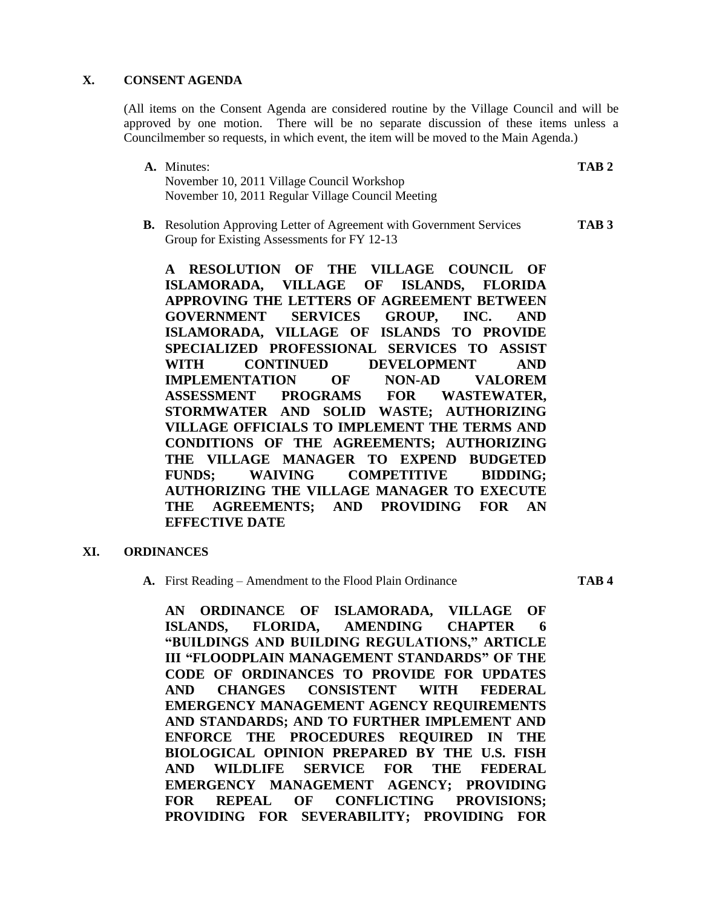#### **X. CONSENT AGENDA**

(All items on the Consent Agenda are considered routine by the Village Council and will be approved by one motion. There will be no separate discussion of these items unless a Councilmember so requests, in which event, the item will be moved to the Main Agenda.)

- **A.** Minutes: **TAB 2** November 10, 2011 Village Council Workshop November 10, 2011 Regular Village Council Meeting
- **B.** Resolution Approving Letter of Agreement with Government Services **TAB 3** Group for Existing Assessments for FY 12-13

**A RESOLUTION OF THE VILLAGE COUNCIL OF ISLAMORADA, VILLAGE OF ISLANDS, FLORIDA APPROVING THE LETTERS OF AGREEMENT BETWEEN GOVERNMENT SERVICES GROUP, INC. AND ISLAMORADA, VILLAGE OF ISLANDS TO PROVIDE SPECIALIZED PROFESSIONAL SERVICES TO ASSIST WITH CONTINUED DEVELOPMENT AND IMPLEMENTATION OF NON-AD VALOREM ASSESSMENT PROGRAMS FOR WASTEWATER, STORMWATER AND SOLID WASTE; AUTHORIZING VILLAGE OFFICIALS TO IMPLEMENT THE TERMS AND CONDITIONS OF THE AGREEMENTS; AUTHORIZING THE VILLAGE MANAGER TO EXPEND BUDGETED FUNDS; WAIVING COMPETITIVE BIDDING; AUTHORIZING THE VILLAGE MANAGER TO EXECUTE THE AGREEMENTS; AND PROVIDING FOR AN EFFECTIVE DATE**

#### **XI. ORDINANCES**

**A.** First Reading – Amendment to the Flood Plain Ordinance **TAB 4**

**AN ORDINANCE OF ISLAMORADA, VILLAGE OF ISLANDS, FLORIDA, AMENDING CHAPTER 6 "BUILDINGS AND BUILDING REGULATIONS," ARTICLE III "FLOODPLAIN MANAGEMENT STANDARDS" OF THE CODE OF ORDINANCES TO PROVIDE FOR UPDATES AND CHANGES CONSISTENT WITH FEDERAL EMERGENCY MANAGEMENT AGENCY REQUIREMENTS AND STANDARDS; AND TO FURTHER IMPLEMENT AND ENFORCE THE PROCEDURES REQUIRED IN THE BIOLOGICAL OPINION PREPARED BY THE U.S. FISH AND WILDLIFE SERVICE FOR THE FEDERAL EMERGENCY MANAGEMENT AGENCY; PROVIDING FOR REPEAL OF CONFLICTING PROVISIONS; PROVIDING FOR SEVERABILITY; PROVIDING FOR**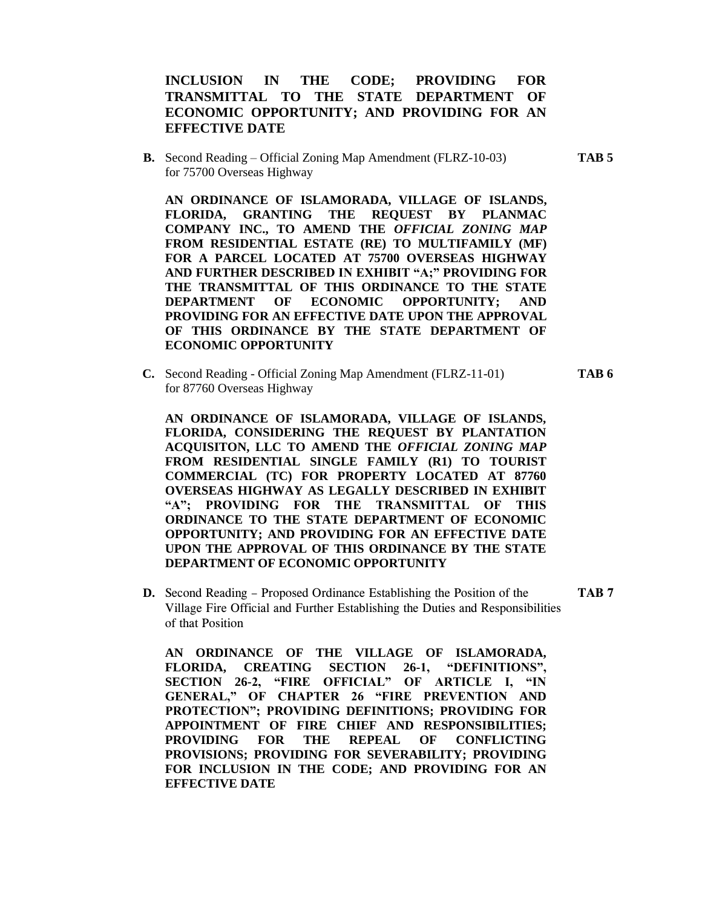#### **INCLUSION IN THE CODE; PROVIDING FOR TRANSMITTAL TO THE STATE DEPARTMENT OF ECONOMIC OPPORTUNITY; AND PROVIDING FOR AN EFFECTIVE DATE**

**B.** Second Reading – Official Zoning Map Amendment (FLRZ-10-03) **TAB 5** for 75700 Overseas Highway

**AN ORDINANCE OF ISLAMORADA, VILLAGE OF ISLANDS, FLORIDA, GRANTING THE REQUEST BY PLANMAC COMPANY INC., TO AMEND THE** *OFFICIAL ZONING MAP* **FROM RESIDENTIAL ESTATE (RE) TO MULTIFAMILY (MF) FOR A PARCEL LOCATED AT 75700 OVERSEAS HIGHWAY AND FURTHER DESCRIBED IN EXHIBIT "A;" PROVIDING FOR THE TRANSMITTAL OF THIS ORDINANCE TO THE STATE DEPARTMENT OF ECONOMIC OPPORTUNITY; AND PROVIDING FOR AN EFFECTIVE DATE UPON THE APPROVAL OF THIS ORDINANCE BY THE STATE DEPARTMENT OF ECONOMIC OPPORTUNITY**

**C.** Second Reading - Official Zoning Map Amendment (FLRZ-11-01) **TAB 6** for 87760 Overseas Highway

**AN ORDINANCE OF ISLAMORADA, VILLAGE OF ISLANDS, FLORIDA, CONSIDERING THE REQUEST BY PLANTATION ACQUISITON, LLC TO AMEND THE** *OFFICIAL ZONING MAP* **FROM RESIDENTIAL SINGLE FAMILY (R1) TO TOURIST COMMERCIAL (TC) FOR PROPERTY LOCATED AT 87760 OVERSEAS HIGHWAY AS LEGALLY DESCRIBED IN EXHIBIT "A"; PROVIDING FOR THE TRANSMITTAL OF THIS ORDINANCE TO THE STATE DEPARTMENT OF ECONOMIC OPPORTUNITY; AND PROVIDING FOR AN EFFECTIVE DATE UPON THE APPROVAL OF THIS ORDINANCE BY THE STATE DEPARTMENT OF ECONOMIC OPPORTUNITY**

**D.** Second Reading – Proposed Ordinance Establishing the Position of the **TAB 7** Village Fire Official and Further Establishing the Duties and Responsibilities of that Position

**AN ORDINANCE OF THE VILLAGE OF ISLAMORADA, FLORIDA, CREATING SECTION 26-1, "DEFINITIONS", SECTION 26-2, "FIRE OFFICIAL" OF ARTICLE I, "IN GENERAL," OF CHAPTER 26 "FIRE PREVENTION AND PROTECTION"; PROVIDING DEFINITIONS; PROVIDING FOR APPOINTMENT OF FIRE CHIEF AND RESPONSIBILITIES; PROVIDING FOR THE REPEAL OF CONFLICTING PROVISIONS; PROVIDING FOR SEVERABILITY; PROVIDING FOR INCLUSION IN THE CODE; AND PROVIDING FOR AN EFFECTIVE DATE**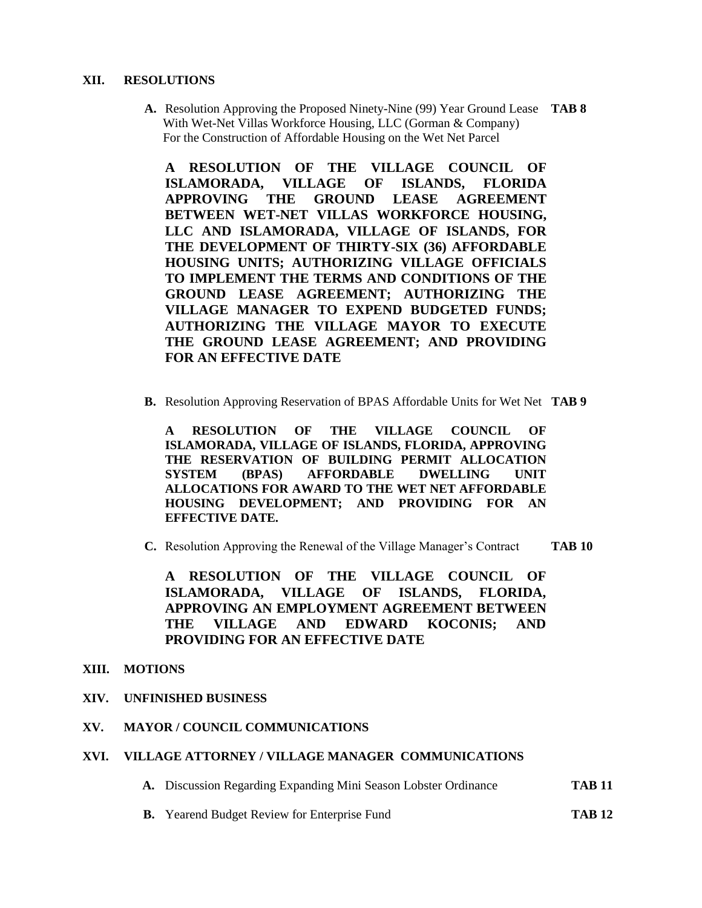#### **XII. RESOLUTIONS**

**A.** Resolution Approving the Proposed Ninety-Nine (99) Year Ground Lease **TAB 8** With Wet-Net Villas Workforce Housing, LLC (Gorman & Company) For the Construction of Affordable Housing on the Wet Net Parcel

**A RESOLUTION OF THE VILLAGE COUNCIL OF ISLAMORADA, VILLAGE OF ISLANDS, FLORIDA APPROVING THE GROUND LEASE AGREEMENT BETWEEN WET-NET VILLAS WORKFORCE HOUSING, LLC AND ISLAMORADA, VILLAGE OF ISLANDS, FOR THE DEVELOPMENT OF THIRTY-SIX (36) AFFORDABLE HOUSING UNITS; AUTHORIZING VILLAGE OFFICIALS TO IMPLEMENT THE TERMS AND CONDITIONS OF THE GROUND LEASE AGREEMENT; AUTHORIZING THE VILLAGE MANAGER TO EXPEND BUDGETED FUNDS; AUTHORIZING THE VILLAGE MAYOR TO EXECUTE THE GROUND LEASE AGREEMENT; AND PROVIDING FOR AN EFFECTIVE DATE**

**B.** Resolution Approving Reservation of BPAS Affordable Units for Wet Net **TAB 9**

**A RESOLUTION OF THE VILLAGE COUNCIL OF ISLAMORADA, VILLAGE OF ISLANDS, FLORIDA, APPROVING THE RESERVATION OF BUILDING PERMIT ALLOCATION SYSTEM (BPAS) AFFORDABLE DWELLING UNIT ALLOCATIONS FOR AWARD TO THE WET NET AFFORDABLE HOUSING DEVELOPMENT; AND PROVIDING FOR AN EFFECTIVE DATE.**

**C.** Resolution Approving the Renewal of the Village Manager's Contract **TAB 10**

**A RESOLUTION OF THE VILLAGE COUNCIL OF ISLAMORADA, VILLAGE OF ISLANDS, FLORIDA, APPROVING AN EMPLOYMENT AGREEMENT BETWEEN THE VILLAGE AND EDWARD KOCONIS; AND PROVIDING FOR AN EFFECTIVE DATE**

#### **XIII. MOTIONS**

**XIV. UNFINISHED BUSINESS**

### **XV. MAYOR / COUNCIL COMMUNICATIONS**

#### **XVI. VILLAGE ATTORNEY / VILLAGE MANAGER COMMUNICATIONS**

- **A.** Discussion Regarding Expanding Mini Season Lobster Ordinance **TAB 11**
- **B.** Yearend Budget Review for Enterprise Fund **TAB 12**